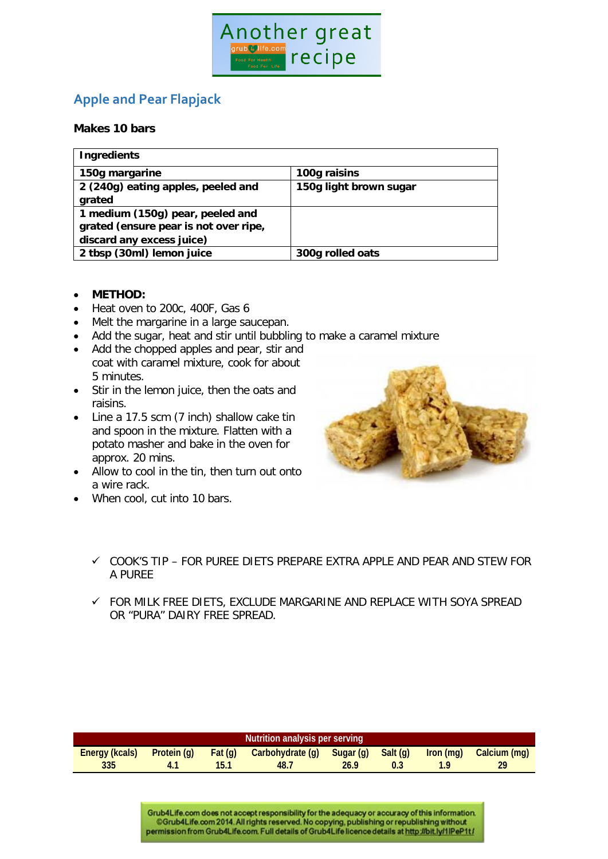

## **Apple and Pear Flapjack**

## **Makes 10 bars**

| <b>Ingredients</b>                    |                        |  |  |  |  |
|---------------------------------------|------------------------|--|--|--|--|
| 150g margarine                        | 100g raisins           |  |  |  |  |
| 2 (240g) eating apples, peeled and    | 150g light brown sugar |  |  |  |  |
| grated                                |                        |  |  |  |  |
| 1 medium (150g) pear, peeled and      |                        |  |  |  |  |
| grated (ensure pear is not over ripe, |                        |  |  |  |  |
| discard any excess juice)             |                        |  |  |  |  |
| 2 tbsp (30ml) lemon juice             | 300g rolled oats       |  |  |  |  |

- **METHOD:**
- Heat oven to 200c, 400F, Gas 6
- Melt the margarine in a large saucepan.
- Add the sugar, heat and stir until bubbling to make a caramel mixture
- Add the chopped apples and pear, stir and coat with caramel mixture, cook for about 5 minutes.
- Stir in the lemon juice, then the oats and raisins.
- Line a 17.5 scm (7 inch) shallow cake tin and spoon in the mixture. Flatten with a potato masher and bake in the oven for approx. 20 mins.
- Allow to cool in the tin, then turn out onto a wire rack.
- When cool, cut into 10 bars.



- $\checkmark$  cook's tip for puree diets prepare extra apple and pear and stew for A PUREE
- FOR MILK FREE DIETS, EXCLUDE MARGARINE AND REPLACE WITH SOYA SPREAD OR "PURA" DAIRY FREE SPREAD.

| Nutrition analysis per serving |             |        |                  |           |          |           |              |  |  |
|--------------------------------|-------------|--------|------------------|-----------|----------|-----------|--------------|--|--|
| Energy (kcals)                 | Protein (g) | Fat(q) | Carbohydrate (g) | Sugar (g) | Salt (g) | Iron (mg) | Calcium (mg) |  |  |
| 335                            |             |        | 48.              | 26.9      |          |           | 29           |  |  |

Grub4Life.com does not accept responsibility for the adequacy or accuracy of this information. CGrub4Life.com 2014. All rights reserved. No copying, publishing or republishing without permission from Grub4Life.com. Full details of Grub4Life licence details at http://bit.ly/1lPeP1t/